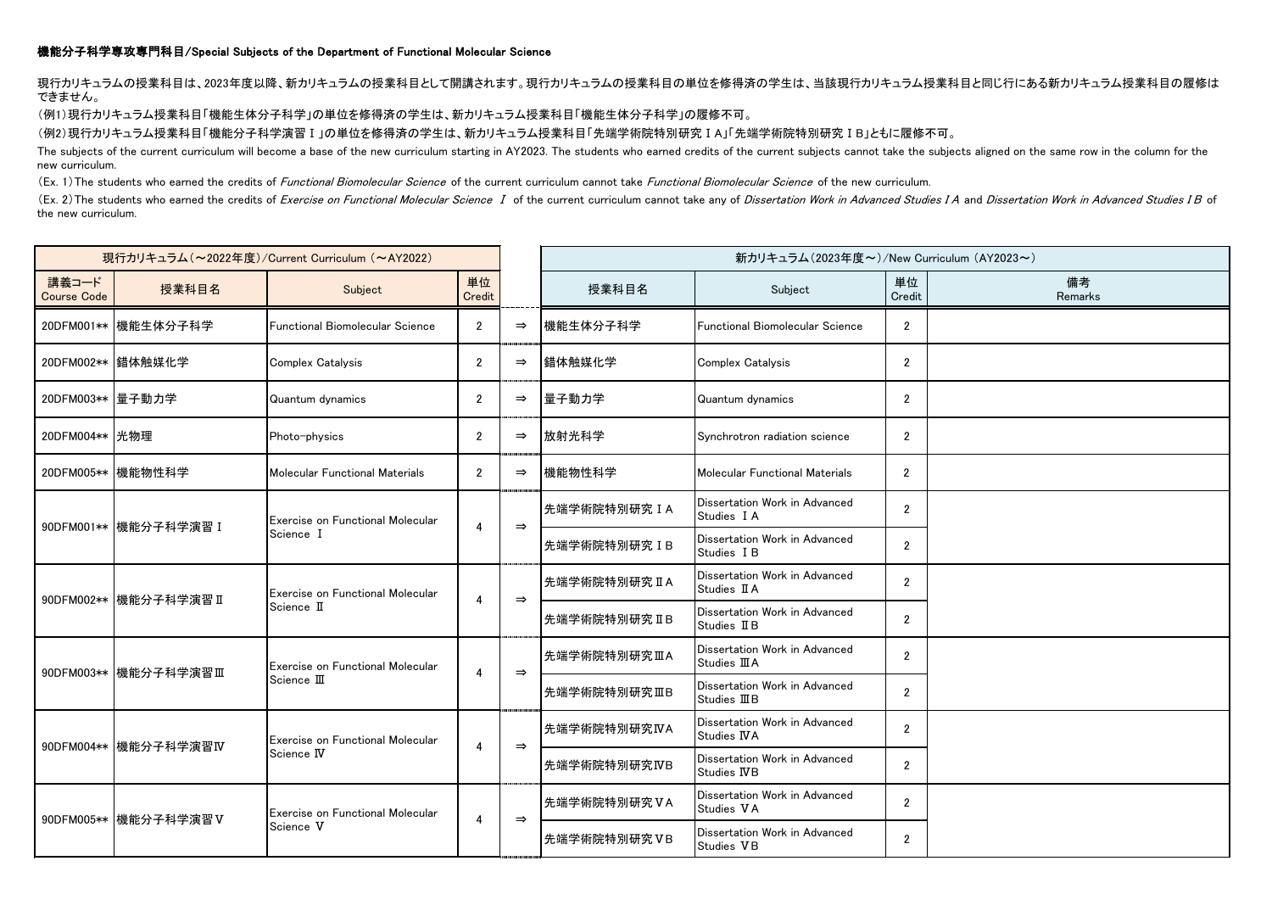## 機能分子科学専攻専門科目/Special Subjects of the Department of Functional Molecular Science

現行カリキュラムの授業科目は、2023年度以降、新カリキュラムの授業科目として開講されます。現行カリキュラムの授業科目の単位を修得済の学生は、当該現行カリキュラム授業科目と同じ行にある新カリキュラム授業科目の履修は できません。

(例1)現行カリキュラム授業科目「機能生体分子科学」の単位を修得済の学生は、新カリキュラム授業科目「機能生体分子科学」の履修不可。

(例2)現行カリキュラム授業科目「機能分子科学演習Ⅰ」の単位を修得済の学生は、新カリキュラム授業科目「先端学術院特別研究ⅠA」「先端学術院特別研究ⅠB」ともに履修不可。

The subjects of the current curriculum will become a base of the new curriculum starting in AY2023. The students who earned credits of the current subjects cannot take the subjects aligned on the same row in the column for new curriculum.

(Ex. 1) The students who earned the credits of *Functional Biomolecular Science* of the current curriculum cannot take *Functional Biomolecular Science* of the new curriculum.

(Ex. 2) The students who earned the credits of Exercise on Functional Molecular Science I of the current curriculum cannot take any of Dissertation Work in Advanced Studies I A and Dissertation Work in Advanced Studies I B the new curriculum.

| 現行カリキュラム (~2022年度)/Current Curriculum (~AY2022) |                        |                                                           |                |               | 新カリキュラム(2023年度~)/New Curriculum (AY2023~) |                                                       |                |               |
|-------------------------------------------------|------------------------|-----------------------------------------------------------|----------------|---------------|-------------------------------------------|-------------------------------------------------------|----------------|---------------|
| 講義コード<br><b>Course Code</b>                     | 授業科目名                  | Subject                                                   | 単位<br>Credit   |               | 授業科目名                                     | Subject                                               | 単位<br>Credit   | 備考<br>Remarks |
|                                                 | 20DFM001** 機能生体分子科学    | <b>Functional Biomolecular Science</b>                    | $\overline{2}$ | $\Rightarrow$ | 機能生体分子科学                                  | <b>Functional Biomolecular Science</b>                | $\overline{2}$ |               |
|                                                 | 20DFM002** 錯体触媒化学      | Complex Catalysis                                         | $\overline{2}$ | $\Rightarrow$ | 錯体触媒化学                                    | Complex Catalysis                                     | $\overline{2}$ |               |
| 20DFM003** 量子動力学                                |                        | Quantum dynamics                                          | $\overline{2}$ | $\Rightarrow$ | 量子動力学                                     | Quantum dynamics                                      | $\overline{2}$ |               |
| 20DFM004** 光物理                                  |                        | Photo-physics                                             | $\overline{2}$ | $\Rightarrow$ | 放射光科学                                     | Synchrotron radiation science                         | $\overline{2}$ |               |
|                                                 | 20DFM005** 機能物性科学      | Molecular Functional Materials                            | $\overline{2}$ | $\Rightarrow$ | 機能物性科学                                    | Molecular Functional Materials                        | $\overline{2}$ |               |
|                                                 | 90DFM001** 機能分子科学演習 I  | Exercise on Functional Molecular<br>Science I             |                | $\Rightarrow$ | 先端学術院特別研究IA                               | Dissertation Work in Advanced<br>Studies I A          | $\overline{2}$ |               |
|                                                 |                        |                                                           |                |               | 先端学術院特別研究 IB                              | Dissertation Work in Advanced<br>Studies I B          | $\overline{2}$ |               |
|                                                 | 90DFM002** 機能分子科学演習 II | Exercise on Functional Molecular<br>Science II            |                | $\Rightarrow$ | 先端学術院特別研究 IIA                             | Dissertation Work in Advanced<br>Studies II A         | $\overline{2}$ |               |
|                                                 |                        |                                                           |                |               | B先端学術院特別研究ⅡB                              | Dissertation Work in Advanced<br>Studies II B         | $\overline{2}$ |               |
|                                                 | 90DFM003** 機能分子科学演習Ⅲ   | Exercise on Functional Molecular<br>Science $\rm I\!I\!I$ |                | $\Rightarrow$ | B先端学術院特別研究ⅢA                              | Dissertation Work in Advanced<br>Studies <b>IIIA</b>  | $\overline{2}$ |               |
|                                                 |                        |                                                           |                |               | ┣先端学術院特別研究ⅢB                              | Dissertation Work in Advanced<br>Studies <b>III</b> B | $\overline{2}$ |               |
|                                                 | 90DFM004** 機能分子科学演習IV  | Exercise on Functional Molecular<br>Science IV            | 4              | $\Rightarrow$ | 先端学術院特別研究IVA                              | Dissertation Work in Advanced<br>Studies IVA          | $\overline{2}$ |               |
|                                                 |                        |                                                           |                |               | 先端学術院特別研究IVB                              | Dissertation Work in Advanced<br><b>Studies IVB</b>   | $\overline{2}$ |               |
|                                                 | 90DFM005** 機能分子科学演習V   | Exercise on Functional Molecular<br>Science V             | 4              | $\Rightarrow$ | 先端学術院特別研究VA                               | Dissertation Work in Advanced<br>Studies VA           | $\overline{2}$ |               |
|                                                 |                        |                                                           |                |               | 先端学術院特別研究VB                               | Dissertation Work in Advanced<br>Studies VB           | $\overline{2}$ |               |